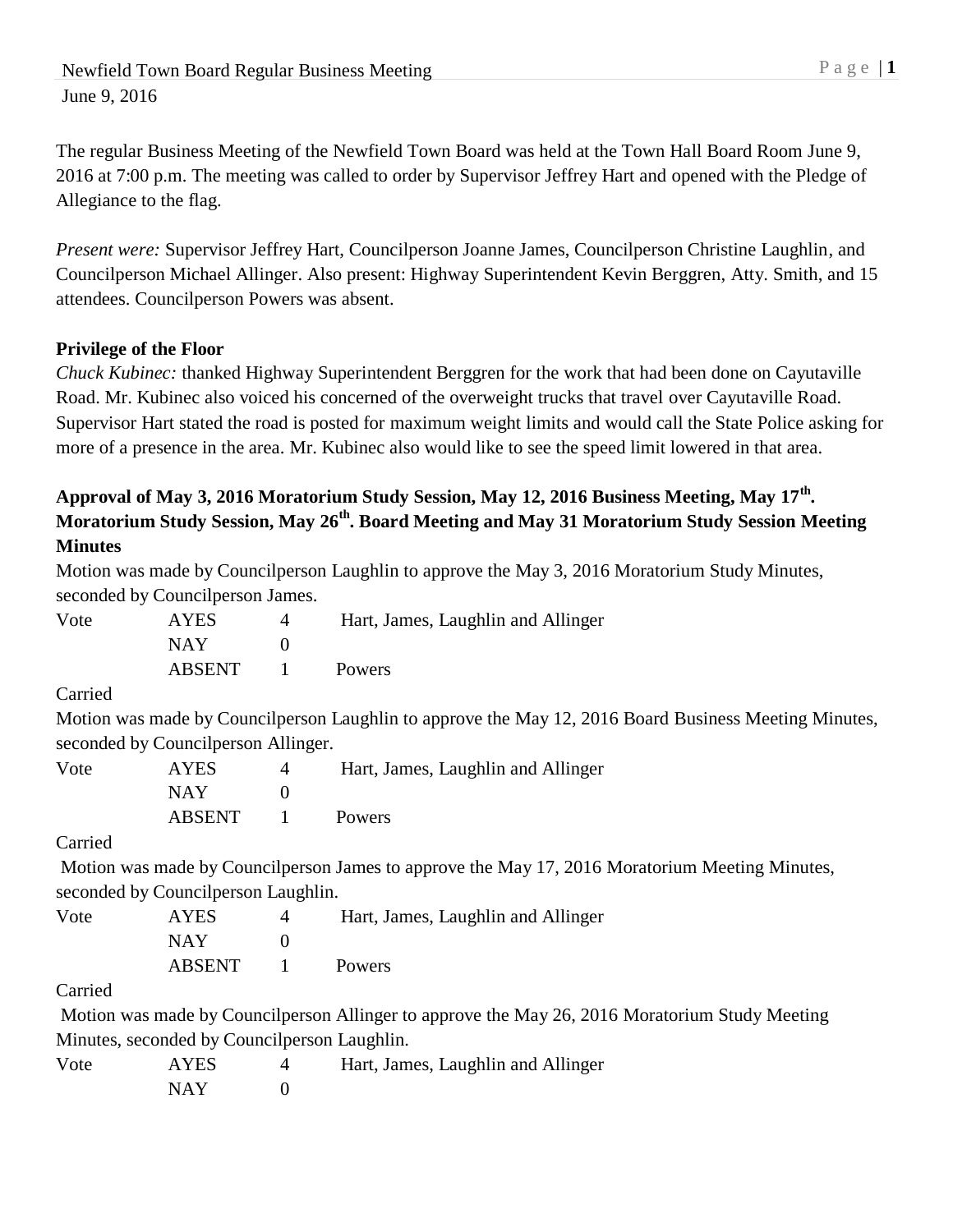The regular Business Meeting of the Newfield Town Board was held at the Town Hall Board Room June 9, 2016 at 7:00 p.m. The meeting was called to order by Supervisor Jeffrey Hart and opened with the Pledge of Allegiance to the flag.

*Present were:* Supervisor Jeffrey Hart, Councilperson Joanne James, Councilperson Christine Laughlin, and Councilperson Michael Allinger. Also present: Highway Superintendent Kevin Berggren, Atty. Smith, and 15 attendees. Councilperson Powers was absent.

## **Privilege of the Floor**

*Chuck Kubinec:* thanked Highway Superintendent Berggren for the work that had been done on Cayutaville Road. Mr. Kubinec also voiced his concerned of the overweight trucks that travel over Cayutaville Road. Supervisor Hart stated the road is posted for maximum weight limits and would call the State Police asking for more of a presence in the area. Mr. Kubinec also would like to see the speed limit lowered in that area.

# **Approval of May 3, 2016 Moratorium Study Session, May 12, 2016 Business Meeting, May 17th . Moratorium Study Session, May 26th. Board Meeting and May 31 Moratorium Study Session Meeting Minutes**

Motion was made by Councilperson Laughlin to approve the May 3, 2016 Moratorium Study Minutes, seconded by Councilperson James.

Vote AYES 4 Hart, James, Laughlin and Allinger  $NAY$  0 ABSENT 1 Powers

Carried

Motion was made by Councilperson Laughlin to approve the May 12, 2016 Board Business Meeting Minutes, seconded by Councilperson Allinger.

| Vote | <b>AYES</b> | Hart, James, Laughlin and Allinger |  |
|------|-------------|------------------------------------|--|
|      | <b>NAY</b>  |                                    |  |
|      | ABSENT      | Powers                             |  |

### Carried

Motion was made by Councilperson James to approve the May 17, 2016 Moratorium Meeting Minutes, seconded by Councilperson Laughlin.

Vote AYES 4 Hart, James, Laughlin and Allinger NAY 0 ABSENT 1 Powers

### Carried

Motion was made by Councilperson Allinger to approve the May 26, 2016 Moratorium Study Meeting Minutes, seconded by Councilperson Laughlin.

| Vote | <b>AYES</b> | Hart, James, Laughlin and Allinger |
|------|-------------|------------------------------------|
|      | NAY         |                                    |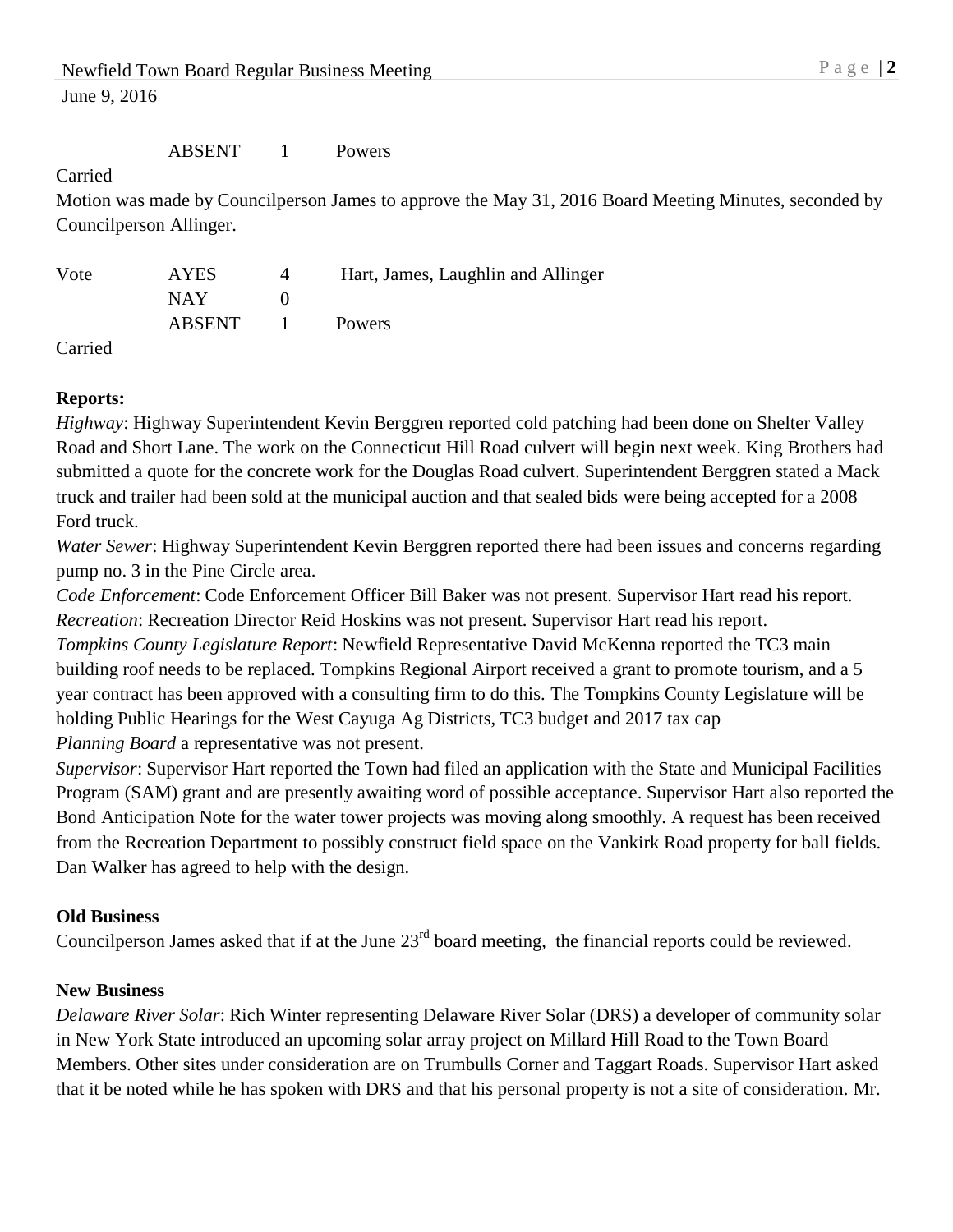#### ABSENT 1 Powers

Carried

Motion was made by Councilperson James to approve the May 31, 2016 Board Meeting Minutes, seconded by Councilperson Allinger.

| Vote | AYES   |              | Hart, James, Laughlin and Allinger |
|------|--------|--------------|------------------------------------|
|      | NAY.   |              |                                    |
|      | ABSENT | $\mathbf{1}$ | <b>Powers</b>                      |

Carried

### **Reports:**

*Highway*: Highway Superintendent Kevin Berggren reported cold patching had been done on Shelter Valley Road and Short Lane. The work on the Connecticut Hill Road culvert will begin next week. King Brothers had submitted a quote for the concrete work for the Douglas Road culvert. Superintendent Berggren stated a Mack truck and trailer had been sold at the municipal auction and that sealed bids were being accepted for a 2008 Ford truck.

*Water Sewer*: Highway Superintendent Kevin Berggren reported there had been issues and concerns regarding pump no. 3 in the Pine Circle area.

*Code Enforcement*: Code Enforcement Officer Bill Baker was not present. Supervisor Hart read his report. *Recreation*: Recreation Director Reid Hoskins was not present. Supervisor Hart read his report. *Tompkins County Legislature Report*: Newfield Representative David McKenna reported the TC3 main building roof needs to be replaced. Tompkins Regional Airport received a grant to promote tourism, and a 5 year contract has been approved with a consulting firm to do this. The Tompkins County Legislature will be holding Public Hearings for the West Cayuga Ag Districts, TC3 budget and 2017 tax cap *Planning Board* a representative was not present.

*Supervisor*: Supervisor Hart reported the Town had filed an application with the State and Municipal Facilities Program (SAM) grant and are presently awaiting word of possible acceptance. Supervisor Hart also reported the Bond Anticipation Note for the water tower projects was moving along smoothly. A request has been received from the Recreation Department to possibly construct field space on the Vankirk Road property for ball fields. Dan Walker has agreed to help with the design.

### **Old Business**

Councilperson James asked that if at the June 23<sup>rd</sup> board meeting, the financial reports could be reviewed.

### **New Business**

*Delaware River Solar*: Rich Winter representing Delaware River Solar (DRS) a developer of community solar in New York State introduced an upcoming solar array project on Millard Hill Road to the Town Board Members. Other sites under consideration are on Trumbulls Corner and Taggart Roads. Supervisor Hart asked that it be noted while he has spoken with DRS and that his personal property is not a site of consideration. Mr.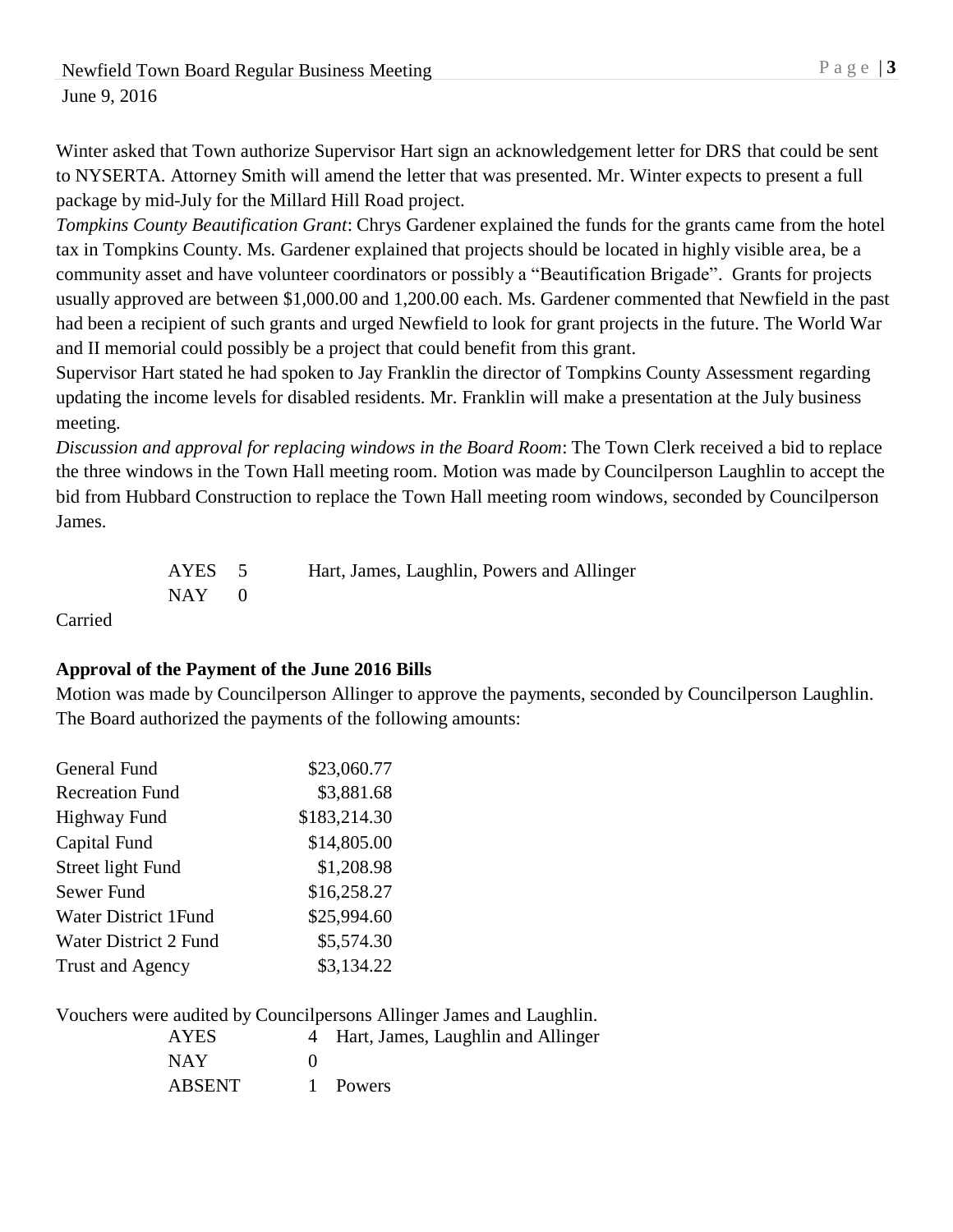Winter asked that Town authorize Supervisor Hart sign an acknowledgement letter for DRS that could be sent to NYSERTA. Attorney Smith will amend the letter that was presented. Mr. Winter expects to present a full package by mid-July for the Millard Hill Road project.

*Tompkins County Beautification Grant*: Chrys Gardener explained the funds for the grants came from the hotel tax in Tompkins County. Ms. Gardener explained that projects should be located in highly visible area, be a community asset and have volunteer coordinators or possibly a "Beautification Brigade". Grants for projects usually approved are between \$1,000.00 and 1,200.00 each. Ms. Gardener commented that Newfield in the past had been a recipient of such grants and urged Newfield to look for grant projects in the future. The World War and II memorial could possibly be a project that could benefit from this grant.

Supervisor Hart stated he had spoken to Jay Franklin the director of Tompkins County Assessment regarding updating the income levels for disabled residents. Mr. Franklin will make a presentation at the July business meeting.

*Discussion and approval for replacing windows in the Board Room*: The Town Clerk received a bid to replace the three windows in the Town Hall meeting room. Motion was made by Councilperson Laughlin to accept the bid from Hubbard Construction to replace the Town Hall meeting room windows, seconded by Councilperson James.

| AYES 5    | Hart, James, Laughlin, Powers and Allinger |
|-----------|--------------------------------------------|
| $NAY = 0$ |                                            |

Carried

### **Approval of the Payment of the June 2016 Bills**

Motion was made by Councilperson Allinger to approve the payments, seconded by Councilperson Laughlin. The Board authorized the payments of the following amounts:

| General Fund                 | \$23,060.77  |
|------------------------------|--------------|
| <b>Recreation Fund</b>       | \$3,881.68   |
| <b>Highway Fund</b>          | \$183,214.30 |
| Capital Fund                 | \$14,805.00  |
| Street light Fund            | \$1,208.98   |
| Sewer Fund                   | \$16,258.27  |
| <b>Water District 1 Fund</b> | \$25,994.60  |
| Water District 2 Fund        | \$5,574.30   |
| <b>Trust and Agency</b>      | \$3,134.22   |
|                              |              |

Vouchers were audited by Councilpersons Allinger James and Laughlin.

| <b>AYES</b>   | 4 Hart, James, Laughlin and Allinger |
|---------------|--------------------------------------|
| <b>NAY</b>    |                                      |
| <b>ABSENT</b> | 1 Powers                             |